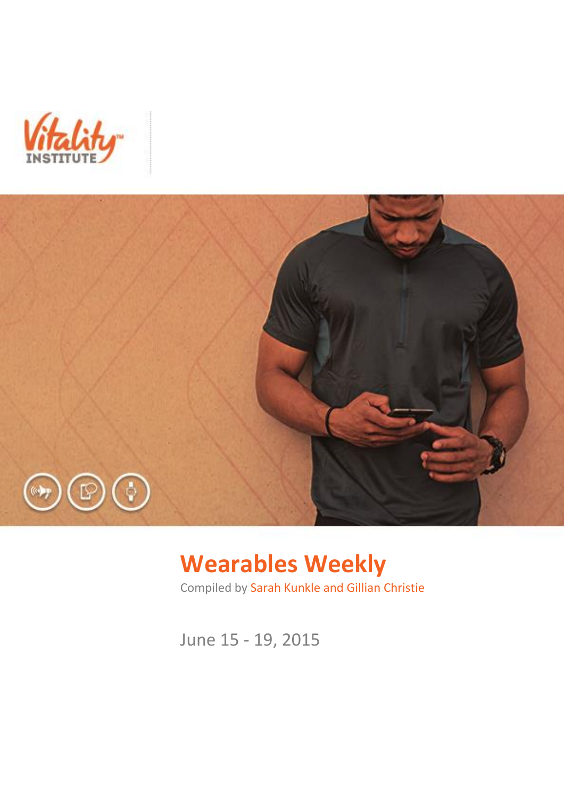



# **Wearables Weekly**

Compiled by Sarah Kunkle and Gillian Christie

June 15 - 19, 2015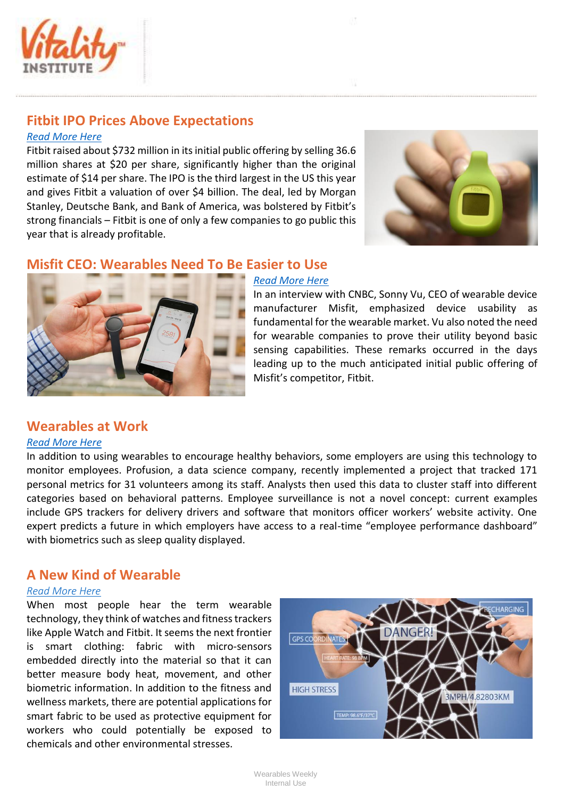

## **Fitbit IPO Prices Above Expectations**

#### *[Read More Here](http://www.wsj.com/articles/fitbit-ipo-prices-at-20-a-share-above-expectations-1434582147)*

Fitbit raised about \$732 million in its initial public offering by selling 36.6 million shares at \$20 per share, significantly higher than the original estimate of \$14 per share. The IPO is the third largest in the US this year and gives Fitbit a valuation of over \$4 billion. The deal, led by Morgan Stanley, Deutsche Bank, and Bank of America, was bolstered by Fitbit's strong financials – Fitbit is one of only a few companies to go public this year that is already profitable.



### **Misfit CEO: Wearables Need To Be Easier to Use**



#### *[Read More Here](http://www.cnbc.com/id/102763573)*

In an interview with CNBC, Sonny Vu, CEO of wearable device manufacturer Misfit, emphasized device usability as fundamental for the wearable market. Vu also noted the need for wearable companies to prove their utility beyond basic sensing capabilities. These remarks occurred in the days leading up to the much anticipated initial public offering of Misfit's competitor, Fitbit.

#### **Wearables at Work**

#### *[Read More Here](http://www.ft.com/intl/cms/s/2/d7eee768-0b65-11e5-994d-00144feabdc0.html)*

In addition to using wearables to encourage healthy behaviors, some employers are using this technology to monitor employees. Profusion, a data science company, recently implemented a project that tracked 171 personal metrics for 31 volunteers among its staff. Analysts then used this data to cluster staff into different categories based on behavioral patterns. Employee surveillance is not a novel concept: current examples include GPS trackers for delivery drivers and software that monitors officer workers' website activity. One expert predicts a future in which employers have access to a real-time "employee performance dashboard" with biometrics such as sleep quality displayed.

## **A New Kind of Wearable**

#### *[Read More Here](http://newsroom.cisco.com/feature-content?type=webcontent&articleId=1644611)*

When most people hear the term wearable technology, they think of watches and fitness trackers like Apple Watch and Fitbit. It seems the next frontier is smart clothing: fabric with micro-sensors embedded directly into the material so that it can better measure body heat, movement, and other biometric information. In addition to the fitness and wellness markets, there are potential applications for smart fabric to be used as protective equipment for workers who could potentially be exposed to chemicals and other environmental stresses.